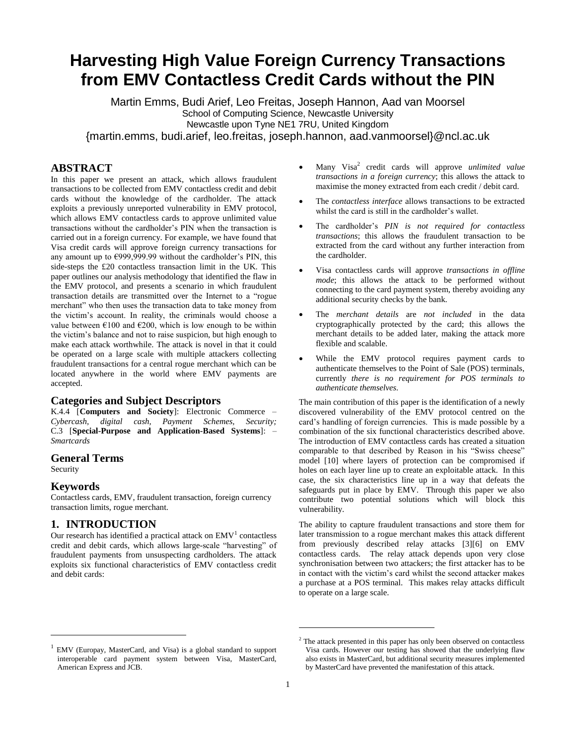# **Harvesting High Value Foreign Currency Transactions from EMV Contactless Credit Cards without the PIN**

Martin Emms, Budi Arief, Leo Freitas, Joseph Hannon, Aad van Moorsel School of Computing Science, Newcastle University Newcastle upon Tyne NE1 7RU, United Kingdom {martin.emms, budi.arief, leo.freitas, joseph.hannon, aad.vanmoorsel}@ncl.ac.uk

# **ABSTRACT**

In this paper we present an attack, which allows fraudulent transactions to be collected from EMV contactless credit and debit cards without the knowledge of the cardholder. The attack exploits a previously unreported vulnerability in EMV protocol, which allows EMV contactless cards to approve unlimited value transactions without the cardholder's PIN when the transaction is carried out in a foreign currency. For example, we have found that Visa credit cards will approve foreign currency transactions for any amount up to €999,999.99 without the cardholder's PIN, this side-steps the £20 contactless transaction limit in the UK. This paper outlines our analysis methodology that identified the flaw in the EMV protocol, and presents a scenario in which fraudulent transaction details are transmitted over the Internet to a "rogue merchant" who then uses the transaction data to take money from the victim's account. In reality, the criminals would choose a value between  $\epsilon$ 100 and  $\epsilon$ 200, which is low enough to be within the victim's balance and not to raise suspicion, but high enough to make each attack worthwhile. The attack is novel in that it could be operated on a large scale with multiple attackers collecting fraudulent transactions for a central rogue merchant which can be located anywhere in the world where EMV payments are accepted.

### **Categories and Subject Descriptors**

K.4.4 [**Computers and Society**]: Electronic Commerce – *Cybercash, digital cash, Payment Schemes, Security;* C.3 [**Special-Purpose and Application-Based Systems**]: – *Smartcards*

#### **General Terms**

Security

 $\overline{a}$ 

## **Keywords**

Contactless cards, EMV, fraudulent transaction, foreign currency transaction limits, rogue merchant.

# **1. INTRODUCTION**

Our research has identified a practical attack on  $EMV<sup>1</sup>$  contactless credit and debit cards, which allows large-scale "harvesting" of fraudulent payments from unsuspecting cardholders. The attack exploits six functional characteristics of EMV contactless credit and debit cards:

- Many Visa<sup>2</sup> credit cards will approve *unlimited value transactions in a foreign currency*; this allows the attack to maximise the money extracted from each credit / debit card.
- The *contactless interface* allows transactions to be extracted whilst the card is still in the cardholder's wallet.
- The cardholder's *PIN is not required for contactless transactions*; this allows the fraudulent transaction to be extracted from the card without any further interaction from the cardholder.
- Visa contactless cards will approve *transactions in offline mode*; this allows the attack to be performed without connecting to the card payment system, thereby avoiding any additional security checks by the bank.
- The *merchant details* are *not included* in the data cryptographically protected by the card; this allows the merchant details to be added later, making the attack more flexible and scalable.
- While the EMV protocol requires payment cards to authenticate themselves to the Point of Sale (POS) terminals, currently *there is no requirement for POS terminals to authenticate themselves.*

The main contribution of this paper is the identification of a newly discovered vulnerability of the EMV protocol centred on the card's handling of foreign currencies. This is made possible by a combination of the six functional characteristics described above. The introduction of EMV contactless cards has created a situation comparable to that described by Reason in his "Swiss cheese" model [\[10\]](#page-10-0) where layers of protection can be compromised if holes on each layer line up to create an exploitable attack. In this case, the six characteristics line up in a way that defeats the safeguards put in place by EMV. Through this paper we also contribute two potential solutions which will block this vulnerability.

The ability to capture fraudulent transactions and store them for later transmission to a rogue merchant makes this attack different from previously described relay attacks [\[3\]\[6\]](#page-10-1) on EMV contactless cards. The relay attack depends upon very close synchronisation between two attackers; the first attacker has to be in contact with the victim's card whilst the second attacker makes a purchase at a POS terminal. This makes relay attacks difficult to operate on a large scale.

 $\overline{a}$ 

<sup>1</sup> EMV (Europay, MasterCard, and Visa) is a global standard to support interoperable card payment system between Visa, MasterCard, American Express and JCB.

 $2$  The attack presented in this paper has only been observed on contactless Visa cards. However our testing has showed that the underlying flaw also exists in MasterCard, but additional security measures implemented by MasterCard have prevented the manifestation of this attack.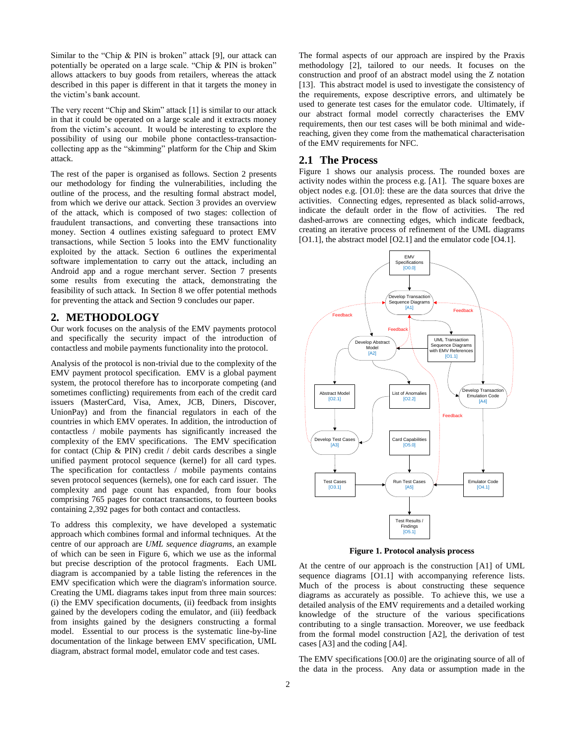Similar to the "Chip & PIN is broken" attack [\[9\],](#page-10-2) our attack can potentially be operated on a large scale. "Chip & PIN is broken" allows attackers to buy goods from retailers, whereas the attack described in this paper is different in that it targets the money in the victim's bank account.

The very recent "Chip and Skim" attack [\[1\]](#page-10-3) is similar to our attack in that it could be operated on a large scale and it extracts money from the victim's account. It would be interesting to explore the possibility of using our mobile phone contactless-transactioncollecting app as the "skimming" platform for the Chip and Skim attack.

The rest of the paper is organised as follows. Section [2](#page-1-0) presents our methodology for finding the vulnerabilities, including the outline of the process, and the resulting formal abstract model, from which we derive our attack. Section [3](#page-3-0) provides an overview of the attack, which is composed of two stages: collection of fraudulent transactions, and converting these transactions into money. Section [4](#page-5-0) outlines existing safeguard to protect EMV transactions, while Section [5](#page-5-1) looks into the EMV functionality exploited by the attack. Section [6](#page-6-0) outlines the experimental software implementation to carry out the attack, including an Android app and a rogue merchant server. Section [7](#page-9-0) presents some results from executing the attack, demonstrating the feasibility of such attack. In Sectio[n 8](#page-9-1) we offer potential methods for preventing the attack and Section [9](#page-9-2) concludes our paper.

## <span id="page-1-0"></span>**2. METHODOLOGY**

Our work focuses on the analysis of the EMV payments protocol and specifically the security impact of the introduction of contactless and mobile payments functionality into the protocol.

Analysis of the protocol is non-trivial due to the complexity of the EMV payment protocol specification. EMV is a global payment system, the protocol therefore has to incorporate competing (and sometimes conflicting) requirements from each of the credit card issuers (MasterCard, Visa, Amex, JCB, Diners, Discover, UnionPay) and from the financial regulators in each of the countries in which EMV operates. In addition, the introduction of contactless / mobile payments has significantly increased the complexity of the EMV specifications. The EMV specification for contact (Chip & PIN) credit / debit cards describes a single unified payment protocol sequence (kernel) for all card types. The specification for contactless / mobile payments contains seven protocol sequences (kernels), one for each card issuer. The complexity and page count has expanded, from four books comprising 765 pages for contact transactions, to fourteen books containing 2,392 pages for both contact and contactless.

To address this complexity, we have developed a systematic approach which combines formal and informal techniques. At the centre of our approach are *UML sequence diagrams*, an example of which can be seen in [Figure 6,](#page-7-0) which we use as the informal but precise description of the protocol fragments. Each UML diagram is accompanied by a table listing the references in the EMV specification which were the diagram's information source. Creating the UML diagrams takes input from three main sources: (i) the EMV specification documents, (ii) feedback from insights gained by the developers coding the emulator, and (iii) feedback from insights gained by the designers constructing a formal model. Essential to our process is the systematic line-by-line documentation of the linkage between EMV specification, UML diagram, abstract formal model, emulator code and test cases.

The formal aspects of our approach are inspired by the Praxis methodology [\[2\],](#page-10-4) tailored to our needs. It focuses on the construction and proof of an abstract model using the Z notation [\[13\].](#page-10-5) This abstract model is used to investigate the consistency of the requirements, expose descriptive errors, and ultimately be used to generate test cases for the emulator code. Ultimately, if our abstract formal model correctly characterises the EMV requirements, then our test cases will be both minimal and widereaching, given they come from the mathematical characterisation of the EMV requirements for NFC.

## **2.1 The Process**

[Figure 1](#page-1-1) shows our analysis process. The rounded boxes are activity nodes within the process e.g. [A1]. The square boxes are object nodes e.g. [O1.0]: these are the data sources that drive the activities. Connecting edges, represented as black solid-arrows, indicate the default order in the flow of activities. The red dashed-arrows are connecting edges, which indicate feedback, creating an iterative process of refinement of the UML diagrams [O1.1], the abstract model [O2.1] and the emulator code [O4.1].



**Figure 1. Protocol analysis process**

<span id="page-1-1"></span>At the centre of our approach is the construction [A1] of UML sequence diagrams [O1.1] with accompanying reference lists. Much of the process is about constructing these sequence diagrams as accurately as possible. To achieve this, we use a detailed analysis of the EMV requirements and a detailed working knowledge of the structure of the various specifications contributing to a single transaction. Moreover, we use feedback from the formal model construction [A2], the derivation of test cases [A3] and the coding [A4].

The EMV specifications [O0.0] are the originating source of all of the data in the process. Any data or assumption made in the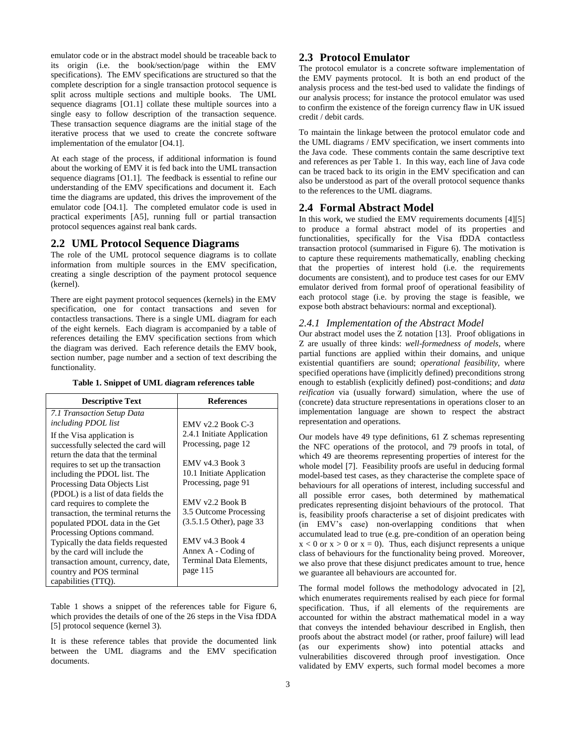emulator code or in the abstract model should be traceable back to its origin (i.e. the book/section/page within the EMV specifications). The EMV specifications are structured so that the complete description for a single transaction protocol sequence is split across multiple sections and multiple books. The UML sequence diagrams [O1.1] collate these multiple sources into a single easy to follow description of the transaction sequence. These transaction sequence diagrams are the initial stage of the iterative process that we used to create the concrete software implementation of the emulator [O4.1].

At each stage of the process, if additional information is found about the working of EMV it is fed back into the UML transaction sequence diagrams [O1.1]. The feedback is essential to refine our understanding of the EMV specifications and document it. Each time the diagrams are updated, this drives the improvement of the emulator code [O4.1]. The completed emulator code is used in practical experiments [A5], running full or partial transaction protocol sequences against real bank cards.

## **2.2 UML Protocol Sequence Diagrams**

The role of the UML protocol sequence diagrams is to collate information from multiple sources in the EMV specification, creating a single description of the payment protocol sequence (kernel).

There are eight payment protocol sequences (kernels) in the EMV specification, one for contact transactions and seven for contactless transactions. There is a single UML diagram for each of the eight kernels. Each diagram is accompanied by a table of references detailing the EMV specification sections from which the diagram was derived. Each reference details the EMV book, section number, page number and a section of text describing the functionality.

**Table 1. Snippet of UML diagram references table**

<span id="page-2-0"></span>

| <b>Descriptive Text</b>               | <b>References</b>           |
|---------------------------------------|-----------------------------|
| 7.1 Transaction Setup Data            |                             |
| <i>including PDOL list</i>            | $EMV$ v2.2 Book C-3         |
| If the Visa application is            | 2.4.1 Initiate Application  |
| successfully selected the card will   | Processing, page 12         |
| return the data that the terminal     |                             |
| requires to set up the transaction    | $EMV$ v4.3 Book 3           |
| including the PDOL list. The          | 10.1 Initiate Application   |
| Processing Data Objects List          | Processing, page 91         |
| (PDOL) is a list of data fields the   |                             |
| card requires to complete the         | EMV v2.2 Book B             |
| transaction, the terminal returns the | 3.5 Outcome Processing      |
| populated PDOL data in the Get        | $(3.5.1.5)$ Other), page 33 |
| Processing Options command.           |                             |
| Typically the data fields requested   | EMV v4.3 Book 4             |
| by the card will include the          | Annex A - Coding of         |
| transaction amount, currency, date,   | Terminal Data Elements,     |
| country and POS terminal              | page 115                    |
| capabilities (TTQ).                   |                             |

[Table 1](#page-2-0) shows a snippet of the references table for [Figure 6,](#page-7-0) which provides the details of one of the 26 steps in the Visa fDDA [\[5\]](#page-10-6) protocol sequence (kernel 3).

It is these reference tables that provide the documented link between the UML diagrams and the EMV specification documents.

## **2.3 Protocol Emulator**

The protocol emulator is a concrete software implementation of the EMV payments protocol. It is both an end product of the analysis process and the test-bed used to validate the findings of our analysis process; for instance the protocol emulator was used to confirm the existence of the foreign currency flaw in UK issued credit / debit cards.

To maintain the linkage between the protocol emulator code and the UML diagrams / EMV specification, we insert comments into the Java code. These comments contain the same descriptive text and references as per [Table 1.](#page-2-0) In this way, each line of Java code can be traced back to its origin in the EMV specification and can also be understood as part of the overall protocol sequence thanks to the references to the UML diagrams.

## **2.4 Formal Abstract Model**

In this work, we studied the EMV requirements documents [\[4\]\[5\]](#page-10-7) to produce a formal abstract model of its properties and functionalities, specifically for the Visa fDDA contactless transaction protocol (summarised in [Figure 6\)](#page-7-0). The motivation is to capture these requirements mathematically, enabling checking that the properties of interest hold (i.e. the requirements documents are consistent), and to produce test cases for our EMV emulator derived from formal proof of operational feasibility of each protocol stage (i.e. by proving the stage is feasible, we expose both abstract behaviours: normal and exceptional).

#### *2.4.1 Implementation of the Abstract Model*

Our abstract model uses the Z notation [\[13\].](#page-10-5) Proof obligations in Z are usually of three kinds: *well-formedness of models*, where partial functions are applied within their domains, and unique existential quantifiers are sound; *operational feasibility*, where specified operations have (implicitly defined) preconditions strong enough to establish (explicitly defined) post-conditions; and *data reification* via (usually forward) simulation, where the use of (concrete) data structure representations in operations closer to an implementation language are shown to respect the abstract representation and operations.

Our models have 49 type definitions, 61 Z schemas representing the NFC operations of the protocol, and 79 proofs in total, of which 49 are theorems representing properties of interest for the whole model [\[7\].](#page-10-8) Feasibility proofs are useful in deducing formal model-based test cases, as they characterise the complete space of behaviours for all operations of interest, including successful and all possible error cases, both determined by mathematical predicates representing disjoint behaviours of the protocol. That is, feasibility proofs characterise a set of disjoint predicates with (in EMV's case) non-overlapping conditions that when accumulated lead to true (e.g. pre-condition of an operation being  $x < 0$  or  $x > 0$  or  $x = 0$ ). Thus, each disjunct represents a unique class of behaviours for the functionality being proved. Moreover, we also prove that these disjunct predicates amount to true, hence we guarantee all behaviours are accounted for.

The formal model follows the methodology advocated in [\[2\],](#page-10-4) which enumerates requirements realised by each piece for formal specification. Thus, if all elements of the requirements are accounted for within the abstract mathematical model in a way that conveys the intended behaviour described in English, then proofs about the abstract model (or rather, proof failure) will lead (as our experiments show) into potential attacks and vulnerabilities discovered through proof investigation. Once validated by EMV experts, such formal model becomes a more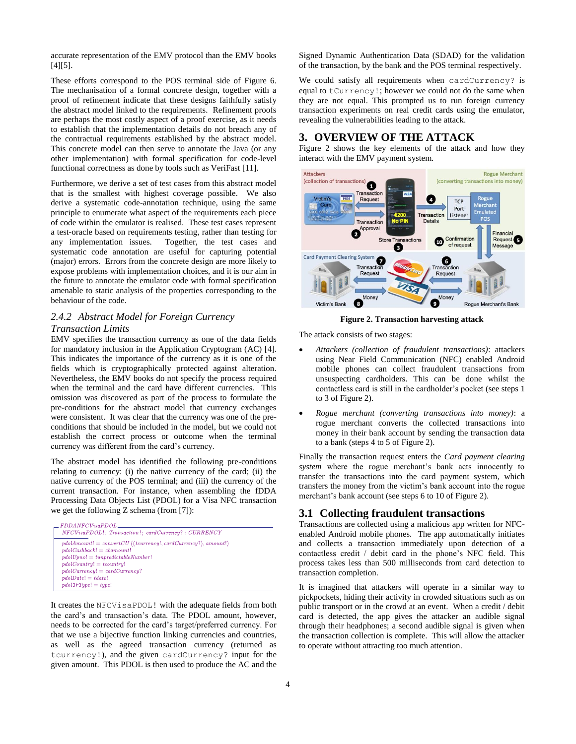accurate representation of the EMV protocol than the EMV books [\[4\]\[5\].](#page-10-7)

These efforts correspond to the POS terminal side of [Figure 6.](#page-7-0) The mechanisation of a formal concrete design, together with a proof of refinement indicate that these designs faithfully satisfy the abstract model linked to the requirements. Refinement proofs are perhaps the most costly aspect of a proof exercise, as it needs to establish that the implementation details do not breach any of the contractual requirements established by the abstract model. This concrete model can then serve to annotate the Java (or any other implementation) with formal specification for code-level functional correctness as done by tools such as VeriFas[t \[11\].](#page-10-9)

Furthermore, we derive a set of test cases from this abstract model that is the smallest with highest coverage possible. We also derive a systematic code-annotation technique, using the same principle to enumerate what aspect of the requirements each piece of code within the emulator is realised. These test cases represent a test-oracle based on requirements testing, rather than testing for any implementation issues. Together, the test cases and systematic code annotation are useful for capturing potential (major) errors. Errors from the concrete design are more likely to expose problems with implementation choices, and it is our aim in the future to annotate the emulator code with formal specification amenable to static analysis of the properties corresponding to the behaviour of the code.

## *2.4.2 Abstract Model for Foreign Currency Transaction Limits*

EMV specifies the transaction currency as one of the data fields for mandatory inclusion in the Application Cryptogram (AC) [\[4\].](#page-10-7) This indicates the importance of the currency as it is one of the fields which is cryptographically protected against alteration. Nevertheless, the EMV books do not specify the process required when the terminal and the card have different currencies. This omission was discovered as part of the process to formulate the pre-conditions for the abstract model that currency exchanges were consistent. It was clear that the currency was one of the preconditions that should be included in the model, but we could not establish the correct process or outcome when the terminal currency was different from the card's currency.

The abstract model has identified the following pre-conditions relating to currency: (i) the native currency of the card; (ii) the native currency of the POS terminal; and (iii) the currency of the current transaction. For instance, when assembling the fDDA Processing Data Objects List (PDOL) for a Visa NFC transaction we get the following Z schema (fro[m \[7\]\)](#page-10-8):

```
DDANFCVisaPDOL_
NFCVisaPDOL!; Transaction!; cardCurrency? : CURRENCY
\overline{pololAmount!} = \overline{convertCU}\ (\overline{(tcurrentcyl}, \overline{cardCurrentcyl}), \overline{amount!})pdolCashback! = \text{chamount!}pdolUpno! = tunpredictableNumber!polCountry! = tcountry!pdolCurrency! = cardCurrency?\label{eq:poly} pdolDate! = tdate!\frac{1}{p}\text{d}olTrType!=type!
```
It creates the NFCVisaPDOL! with the adequate fields from both the card's and transaction's data. The PDOL amount, however, needs to be corrected for the card's target/preferred currency. For that we use a bijective function linking currencies and countries, as well as the agreed transaction currency (returned as tcurrency!), and the given cardCurrency? input for the given amount. This PDOL is then used to produce the AC and the Signed Dynamic Authentication Data (SDAD) for the validation of the transaction, by the bank and the POS terminal respectively.

We could satisfy all requirements when cardCurrency? is equal to tCurrency!; however we could not do the same when they are not equal. This prompted us to run foreign currency transaction experiments on real credit cards using the emulator, revealing the vulnerabilities leading to the attack.

# <span id="page-3-0"></span>**3. OVERVIEW OF THE ATTACK**

[Figure 2](#page-3-1) shows the key elements of the attack and how they interact with the EMV payment system.



**Figure 2. Transaction harvesting attack**

<span id="page-3-1"></span>The attack consists of two stages:

- *Attackers (collection of fraudulent transactions)*: attackers using Near Field Communication (NFC) enabled Android mobile phones can collect fraudulent transactions from unsuspecting cardholders. This can be done whilst the contactless card is still in the cardholder's pocket (see steps 1 to 3 o[f Figure 2\)](#page-3-1).
- *Rogue merchant (converting transactions into money)*: a rogue merchant converts the collected transactions into money in their bank account by sending the transaction data to a bank (steps 4 to 5 o[f Figure 2\)](#page-3-1).

Finally the transaction request enters the *Card payment clearing system* where the rogue merchant's bank acts innocently to transfer the transactions into the card payment system, which transfers the money from the victim's bank account into the rogue merchant's bank account (see steps 6 to 10 of [Figure 2\)](#page-3-1).

## **3.1 Collecting fraudulent transactions**

Transactions are collected using a malicious app written for NFCenabled Android mobile phones. The app automatically initiates and collects a transaction immediately upon detection of a contactless credit / debit card in the phone's NFC field. This process takes less than 500 milliseconds from card detection to transaction completion.

It is imagined that attackers will operate in a similar way to pickpockets, hiding their activity in crowded situations such as on public transport or in the crowd at an event. When a credit / debit card is detected, the app gives the attacker an audible signal through their headphones; a second audible signal is given when the transaction collection is complete. This will allow the attacker to operate without attracting too much attention.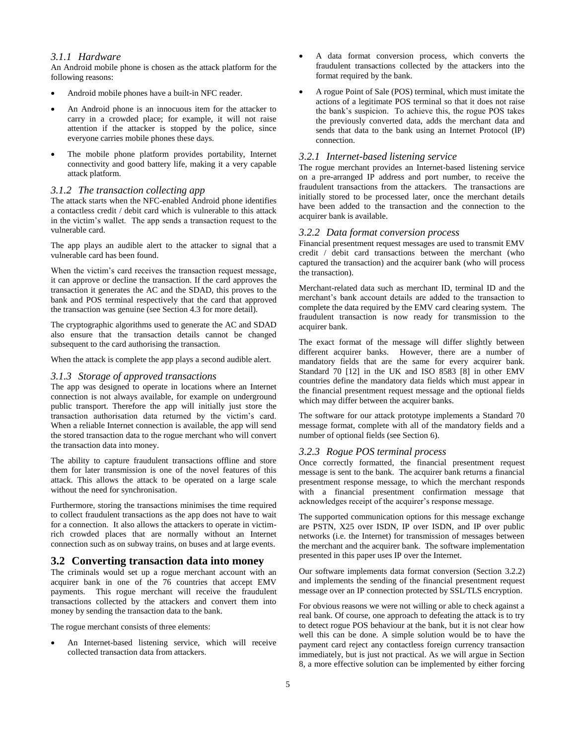## *3.1.1 Hardware*

An Android mobile phone is chosen as the attack platform for the following reasons:

- Android mobile phones have a built-in NFC reader.
- An Android phone is an innocuous item for the attacker to carry in a crowded place; for example, it will not raise attention if the attacker is stopped by the police, since everyone carries mobile phones these days.
- The mobile phone platform provides portability, Internet connectivity and good battery life, making it a very capable attack platform.

#### *3.1.2 The transaction collecting app*

The attack starts when the NFC-enabled Android phone identifies a contactless credit / debit card which is vulnerable to this attack in the victim's wallet. The app sends a transaction request to the vulnerable card.

The app plays an audible alert to the attacker to signal that a vulnerable card has been found.

When the victim's card receives the transaction request message. it can approve or decline the transaction. If the card approves the transaction it generates the AC and the SDAD, this proves to the bank and POS terminal respectively that the card that approved the transaction was genuine (see Section [4.3](#page-5-2) for more detail).

The cryptographic algorithms used to generate the AC and SDAD also ensure that the transaction details cannot be changed subsequent to the card authorising the transaction.

When the attack is complete the app plays a second audible alert.

#### *3.1.3 Storage of approved transactions*

The app was designed to operate in locations where an Internet connection is not always available, for example on underground public transport. Therefore the app will initially just store the transaction authorisation data returned by the victim's card. When a reliable Internet connection is available, the app will send the stored transaction data to the rogue merchant who will convert the transaction data into money.

The ability to capture fraudulent transactions offline and store them for later transmission is one of the novel features of this attack. This allows the attack to be operated on a large scale without the need for synchronisation.

Furthermore, storing the transactions minimises the time required to collect fraudulent transactions as the app does not have to wait for a connection. It also allows the attackers to operate in victimrich crowded places that are normally without an Internet connection such as on subway trains, on buses and at large events.

#### **3.2 Converting transaction data into money**

The criminals would set up a rogue merchant account with an acquirer bank in one of the 76 countries that accept EMV payments. This rogue merchant will receive the fraudulent transactions collected by the attackers and convert them into money by sending the transaction data to the bank.

The rogue merchant consists of three elements:

 An Internet-based listening service, which will receive collected transaction data from attackers.

- A data format conversion process, which converts the fraudulent transactions collected by the attackers into the format required by the bank.
- A rogue Point of Sale (POS) terminal, which must imitate the actions of a legitimate POS terminal so that it does not raise the bank's suspicion. To achieve this, the rogue POS takes the previously converted data, adds the merchant data and sends that data to the bank using an Internet Protocol (IP) connection.

#### *3.2.1 Internet-based listening service*

The rogue merchant provides an Internet-based listening service on a pre-arranged IP address and port number, to receive the fraudulent transactions from the attackers. The transactions are initially stored to be processed later, once the merchant details have been added to the transaction and the connection to the acquirer bank is available.

#### <span id="page-4-0"></span>*3.2.2 Data format conversion process*

Financial presentment request messages are used to transmit EMV credit / debit card transactions between the merchant (who captured the transaction) and the acquirer bank (who will process the transaction).

Merchant-related data such as merchant ID, terminal ID and the merchant's bank account details are added to the transaction to complete the data required by the EMV card clearing system. The fraudulent transaction is now ready for transmission to the acquirer bank.

The exact format of the message will differ slightly between different acquirer banks. However, there are a number of mandatory fields that are the same for every acquirer bank. Standard 70 [\[12\]](#page-10-10) in the UK and ISO 8583 [\[8\]](#page-10-11) in other EMV countries define the mandatory data fields which must appear in the financial presentment request message and the optional fields which may differ between the acquirer banks.

The software for our attack prototype implements a Standard 70 message format, complete with all of the mandatory fields and a number of optional fields (see Sectio[n 6\)](#page-6-0).

#### *3.2.3 Rogue POS terminal process*

Once correctly formatted, the financial presentment request message is sent to the bank. The acquirer bank returns a financial presentment response message, to which the merchant responds with a financial presentment confirmation message that acknowledges receipt of the acquirer's response message.

The supported communication options for this message exchange are PSTN, X25 over ISDN, IP over ISDN, and IP over public networks (i.e. the Internet) for transmission of messages between the merchant and the acquirer bank. The software implementation presented in this paper uses IP over the Internet.

Our software implements data format conversion (Section [3.2.2\)](#page-4-0) and implements the sending of the financial presentment request message over an IP connection protected by SSL/TLS encryption.

For obvious reasons we were not willing or able to check against a real bank. Of course, one approach to defeating the attack is to try to detect rogue POS behaviour at the bank, but it is not clear how well this can be done. A simple solution would be to have the payment card reject any contactless foreign currency transaction immediately, but is just not practical. As we will argue in Section [8,](#page-9-1) a more effective solution can be implemented by either forcing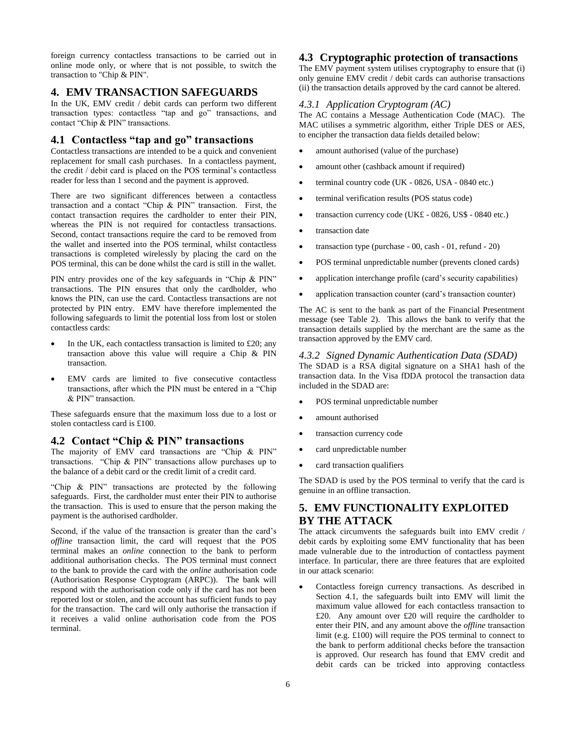foreign currency contactless transactions to be carried out in online mode only, or where that is not possible, to switch the transaction to "Chip & PIN".

## <span id="page-5-0"></span>**4. EMV TRANSACTION SAFEGUARDS**

In the UK, EMV credit / debit cards can perform two different transaction types: contactless "tap and go" transactions, and contact "Chip & PIN" transactions.

## <span id="page-5-3"></span>**4.1 Contactless "tap and go" transactions**

Contactless transactions are intended to be a quick and convenient replacement for small cash purchases. In a contactless payment, the credit / debit card is placed on the POS terminal's contactless reader for less than 1 second and the payment is approved.

There are two significant differences between a contactless transaction and a contact "Chip & PIN" transaction. First, the contact transaction requires the cardholder to enter their PIN, whereas the PIN is not required for contactless transactions. Second, contact transactions require the card to be removed from the wallet and inserted into the POS terminal, whilst contactless transactions is completed wirelessly by placing the card on the POS terminal, this can be done whilst the card is still in the wallet.

PIN entry provides one of the key safeguards in "Chip & PIN" transactions. The PIN ensures that only the cardholder, who knows the PIN, can use the card. Contactless transactions are not protected by PIN entry. EMV have therefore implemented the following safeguards to limit the potential loss from lost or stolen contactless cards:

- In the UK, each contactless transaction is limited to £20; any transaction above this value will require a Chip & PIN transaction.
- EMV cards are limited to five consecutive contactless transactions, after which the PIN must be entered in a "Chip & PIN" transaction.

These safeguards ensure that the maximum loss due to a lost or stolen contactless card is £100.

# **4.2 Contact "Chip & PIN" transactions**

The majority of EMV card transactions are "Chip & PIN" transactions. "Chip & PIN" transactions allow purchases up to the balance of a debit card or the credit limit of a credit card.

"Chip & PIN" transactions are protected by the following safeguards. First, the cardholder must enter their PIN to authorise the transaction. This is used to ensure that the person making the payment is the authorised cardholder.

Second, if the value of the transaction is greater than the card's *offline* transaction limit, the card will request that the POS terminal makes an *online* connection to the bank to perform additional authorisation checks. The POS terminal must connect to the bank to provide the card with the *online* authorisation code (Authorisation Response Cryptogram (ARPC)). The bank will respond with the authorisation code only if the card has not been reported lost or stolen, and the account has sufficient funds to pay for the transaction. The card will only authorise the transaction if it receives a valid online authorisation code from the POS terminal.

## <span id="page-5-2"></span>**4.3 Cryptographic protection of transactions**

The EMV payment system utilises cryptography to ensure that (i) only genuine EMV credit / debit cards can authorise transactions (ii) the transaction details approved by the card cannot be altered.

## *4.3.1 Application Cryptogram (AC)*

The AC contains a Message Authentication Code (MAC). The MAC utilises a symmetric algorithm, either Triple DES or AES, to encipher the transaction data fields detailed below:

- amount authorised (value of the purchase)
- amount other (cashback amount if required)
- terminal country code (UK 0826, USA 0840 etc.)
- terminal verification results (POS status code)
- transaction currency code (UK£ 0826, US\$ 0840 etc.)
- transaction date
- transaction type (purchase 00, cash 01, refund 20)
- POS terminal unpredictable number (prevents cloned cards)
- application interchange profile (card's security capabilities)
- application transaction counter (card's transaction counter)

The AC is sent to the bank as part of the Financial Presentment message (see [Table 2\)](#page-8-0). This allows the bank to verify that the transaction details supplied by the merchant are the same as the transaction approved by the EMV card.

## *4.3.2 Signed Dynamic Authentication Data (SDAD)*

The SDAD is a RSA digital signature on a SHA1 hash of the transaction data. In the Visa fDDA protocol the transaction data included in the SDAD are:

- POS terminal unpredictable number
- amount authorised
- transaction currency code
- card unpredictable number
- card transaction qualifiers

The SDAD is used by the POS terminal to verify that the card is genuine in an offline transaction.

# <span id="page-5-1"></span>**5. EMV FUNCTIONALITY EXPLOITED BY THE ATTACK**

The attack circumvents the safeguards built into EMV credit / debit cards by exploiting some EMV functionality that has been made vulnerable due to the introduction of contactless payment interface. In particular, there are three features that are exploited in our attack scenario:

 Contactless foreign currency transactions. As described in Section [4.1,](#page-5-3) the safeguards built into EMV will limit the maximum value allowed for each contactless transaction to £20. Any amount over £20 will require the cardholder to enter their PIN, and any amount above the *offline* transaction limit (e.g. £100) will require the POS terminal to connect to the bank to perform additional checks before the transaction is approved. Our research has found that EMV credit and debit cards can be tricked into approving contactless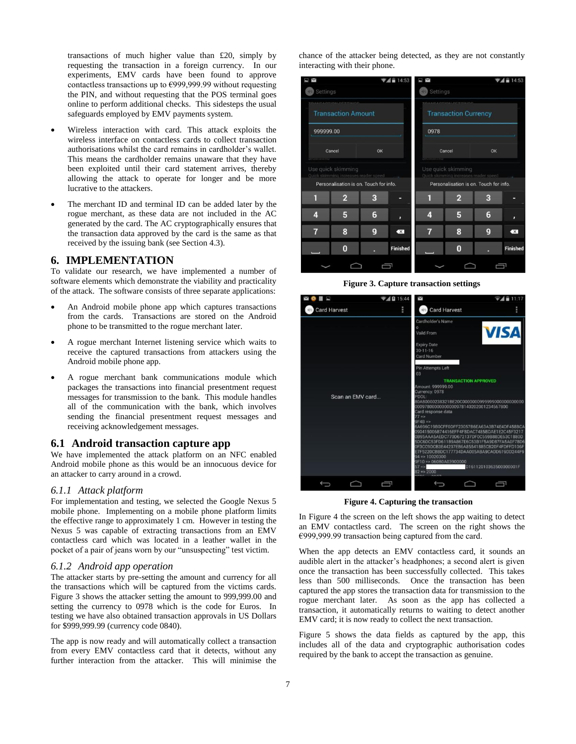transactions of much higher value than £20, simply by requesting the transaction in a foreign currency. In our experiments, EMV cards have been found to approve contactless transactions up to €999,999.99 without requesting the PIN, and without requesting that the POS terminal goes online to perform additional checks. This sidesteps the usual safeguards employed by EMV payments system.

- Wireless interaction with card. This attack exploits the wireless interface on contactless cards to collect transaction authorisations whilst the card remains in cardholder's wallet. This means the cardholder remains unaware that they have been exploited until their card statement arrives, thereby allowing the attack to operate for longer and be more lucrative to the attackers.
- The merchant ID and terminal ID can be added later by the rogue merchant, as these data are not included in the AC generated by the card. The AC cryptographically ensures that the transaction data approved by the card is the same as that received by the issuing bank (see Section [4.3\)](#page-5-2).

## <span id="page-6-0"></span>**6. IMPLEMENTATION**

To validate our research, we have implemented a number of software elements which demonstrate the viability and practicality of the attack. The software consists of three separate applications:

- An Android mobile phone app which captures transactions from the cards. Transactions are stored on the Android phone to be transmitted to the rogue merchant later.
- A rogue merchant Internet listening service which waits to receive the captured transactions from attackers using the Android mobile phone app.
- A rogue merchant bank communications module which packages the transactions into financial presentment request messages for transmission to the bank. This module handles all of the communication with the bank, which involves sending the financial presentment request messages and receiving acknowledgement messages.

## <span id="page-6-3"></span>**6.1 Android transaction capture app**

We have implemented the attack platform on an NFC enabled Android mobile phone as this would be an innocuous device for an attacker to carry around in a crowd.

## *6.1.1 Attack platform*

For implementation and testing, we selected the Google Nexus 5 mobile phone. Implementing on a mobile phone platform limits the effective range to approximately 1 cm. However in testing the Nexus 5 was capable of extracting transactions from an EMV contactless card which was located in a leather wallet in the pocket of a pair of jeans worn by our "unsuspecting" test victim.

#### *6.1.2 Android app operation*

The attacker starts by pre-setting the amount and currency for all the transactions which will be captured from the victims cards. [Figure 3](#page-6-1) shows the attacker setting the amount to 999,999.00 and setting the currency to 0978 which is the code for Euros. In testing we have also obtained transaction approvals in US Dollars for \$999,999.99 (currency code 0840).

The app is now ready and will automatically collect a transaction from every EMV contactless card that it detects, without any further interaction from the attacker. This will minimise the chance of the attacker being detected, as they are not constantly interacting with their phone.

|                                                             |                                        |   | 14:53                   |                                                             |                                        |    | 14:53                   |
|-------------------------------------------------------------|----------------------------------------|---|-------------------------|-------------------------------------------------------------|----------------------------------------|----|-------------------------|
| Settings                                                    |                                        |   |                         | Settings                                                    |                                        |    |                         |
|                                                             | <b>Transaction Amount</b>              |   |                         |                                                             | <b>Transaction Currency</b>            |    |                         |
| 999999.00                                                   |                                        |   | 0978                    |                                                             |                                        |    |                         |
| <b>STATISTICS</b>                                           | Cancel<br>OK                           |   |                         | <b>STATISTICS</b>                                           | Cancel                                 | OK |                         |
| Use quick skimming<br>Quick skimming increases reader speed |                                        |   |                         | Use quick skimming<br>Quick skimming increases reader speed |                                        |    |                         |
|                                                             | Personalisation is on. Touch for info. |   |                         |                                                             | Personalisation is on. Touch for info. |    |                         |
|                                                             | 2                                      | 3 |                         |                                                             | 2                                      | 3  |                         |
| 4                                                           | 5                                      | 6 | п                       | и                                                           | 5                                      | 6  | п                       |
|                                                             | 8                                      | 9 | $\overline{\mathbf{x}}$ |                                                             | 8                                      | 9  | $\overline{\mathbf{x}}$ |
|                                                             | n                                      |   | <b>Finished</b>         |                                                             | n                                      |    | <b>Finished</b>         |
|                                                             |                                        |   |                         |                                                             |                                        |    |                         |

**Figure 3. Capture transaction settings**

<span id="page-6-1"></span>

**Figure 4. Capturing the transaction**

<span id="page-6-2"></span>In [Figure 4](#page-6-2) the screen on the left shows the app waiting to detect an EMV contactless card. The screen on the right shows the €999,999.99 transaction being captured from the card.

When the app detects an EMV contactless card, it sounds an audible alert in the attacker's headphones; a second alert is given once the transaction has been successfully collected. This takes less than 500 milliseconds. Once the transaction has been captured the app stores the transaction data for transmission to the rogue merchant later. As soon as the app has collected a transaction, it automatically returns to waiting to detect another EMV card; it is now ready to collect the next transaction.

[Figure 5](#page-7-1) shows the data fields as captured by the app, this includes all of the data and cryptographic authorisation codes required by the bank to accept the transaction as genuine.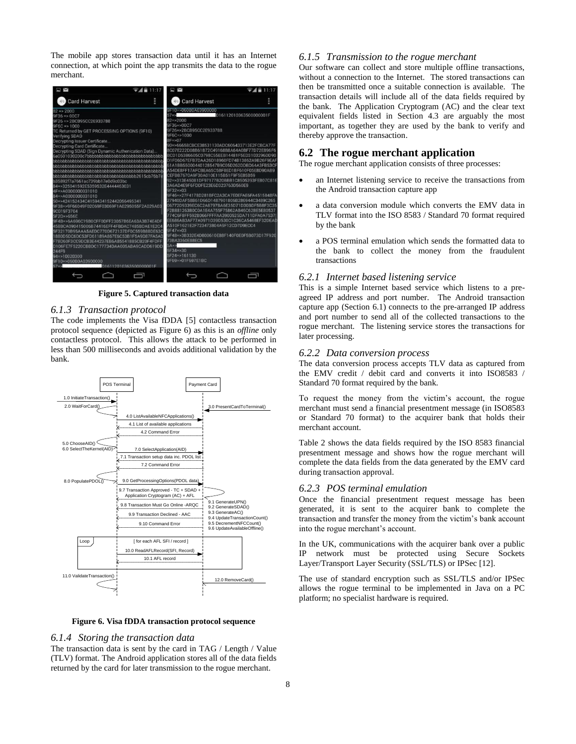The mobile app stores transaction data until it has an Internet connection, at which point the app transmits the data to the rogue merchant.



**Figure 5. Captured transaction data**

## <span id="page-7-1"></span>*6.1.3 Transaction protocol*

The code implements the Visa fDDA [\[5\]](#page-10-6) contactless transaction protocol sequence (depicted as [Figure 6\)](#page-7-0) as this is an *offline* only contactless protocol. This allows the attack to be performed in less than 500 milliseconds and avoids additional validation by the bank.



<span id="page-7-0"></span>

#### *6.1.4 Storing the transaction data*

The transaction data is sent by the card in TAG / Length / Value (TLV) format. The Android application stores all of the data fields returned by the card for later transmission to the rogue merchant.

## *6.1.5 Transmission to the rogue merchant*

Our software can collect and store multiple offline transactions, without a connection to the Internet. The stored transactions can then be transmitted once a suitable connection is available. The transaction details will include all of the data fields required by the bank. The Application Cryptogram (AC) and the clear text equivalent fields listed in Section [4.3](#page-5-2) are arguably the most important, as together they are used by the bank to verify and thereby approve the transaction.

### **6.2 The rogue merchant application**

The rogue merchant application consists of three processes:

- an Internet listening service to receive the transactions from the Android transaction capture app
- a data conversion module which converts the EMV data in TLV format into the ISO 8583 / Standard 70 format required by the bank
- a POS terminal emulation which sends the formatted data to the bank to collect the money from the fraudulent transactions

#### *6.2.1 Internet based listening service*

This is a simple Internet based service which listens to a preagreed IP address and port number. The Android transaction capture app (Section [6.1\)](#page-6-3) connects to the pre-arranged IP address and port number to send all of the collected transactions to the rogue merchant. The listening service stores the transactions for later processing.

#### *6.2.2 Data conversion process*

The data conversion process accepts TLV data as captured from the EMV credit / debit card and converts it into ISO8583 / Standard 70 format required by the bank.

To request the money from the victim's account, the rogue merchant must send a financial presentment message (in ISO8583 or Standard 70 format) to the acquirer bank that holds their merchant account.

[Table 2](#page-8-0) shows the data fields required by the ISO 8583 financial presentment message and shows how the rogue merchant will complete the data fields from the data generated by the EMV card during transaction approval.

#### *6.2.3 POS terminal emulation*

Once the financial presentment request message has been generated, it is sent to the acquirer bank to complete the transaction and transfer the money from the victim's bank account into the rogue merchant's account.

In the UK, communications with the acquirer bank over a public IP network must be protected using Secure Sockets Layer/Transport Layer Security (SSL/TLS) or IPSe[c \[12\].](#page-10-10)

The use of standard encryption such as SSL/TLS and/or IPSec allows the rogue terminal to be implemented in Java on a PC platform; no specialist hardware is required.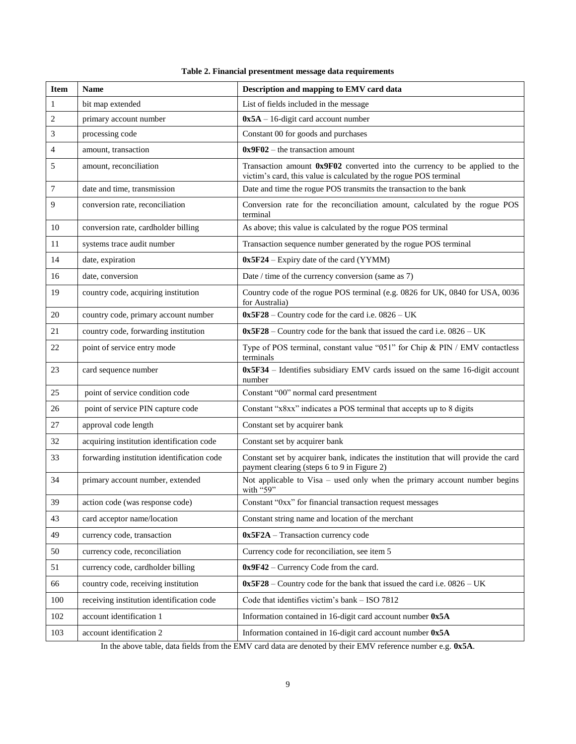<span id="page-8-0"></span>

| <b>Item</b>    | <b>Name</b>                                | Description and mapping to EMV card data                                                                                                        |  |
|----------------|--------------------------------------------|-------------------------------------------------------------------------------------------------------------------------------------------------|--|
| $\mathbf{1}$   | bit map extended                           | List of fields included in the message                                                                                                          |  |
| $\overline{c}$ | primary account number                     | $0x5A - 16$ -digit card account number                                                                                                          |  |
| 3              | processing code                            | Constant 00 for goods and purchases                                                                                                             |  |
| $\overline{4}$ | amount, transaction                        | $0x9F02$ – the transaction amount                                                                                                               |  |
| 5              | amount, reconciliation                     | Transaction amount 0x9F02 converted into the currency to be applied to the<br>victim's card, this value is calculated by the rogue POS terminal |  |
| 7              | date and time, transmission                | Date and time the rogue POS transmits the transaction to the bank                                                                               |  |
| 9              | conversion rate, reconciliation            | Conversion rate for the reconciliation amount, calculated by the rogue POS<br>terminal                                                          |  |
| 10             | conversion rate, cardholder billing        | As above; this value is calculated by the rogue POS terminal                                                                                    |  |
| 11             | systems trace audit number                 | Transaction sequence number generated by the rogue POS terminal                                                                                 |  |
| 14             | date, expiration                           | $0x5F24 -$ Expiry date of the card (YYMM)                                                                                                       |  |
| 16             | date, conversion                           | Date / time of the currency conversion (same as 7)                                                                                              |  |
| 19             | country code, acquiring institution        | Country code of the rogue POS terminal (e.g. 0826 for UK, 0840 for USA, 0036<br>for Australia)                                                  |  |
| 20             | country code, primary account number       | $0x5F28$ – Country code for the card i.e. $0826$ – UK                                                                                           |  |
| 21             | country code, forwarding institution       | $0x5F28$ – Country code for the bank that issued the card i.e. $0826 - UK$                                                                      |  |
| 22             | point of service entry mode                | Type of POS terminal, constant value "051" for Chip & PIN / EMV contactless<br>terminals                                                        |  |
| 23             | card sequence number                       | 0x5F34 - Identifies subsidiary EMV cards issued on the same 16-digit account<br>number                                                          |  |
| 25             | point of service condition code            | Constant "00" normal card presentment                                                                                                           |  |
| 26             | point of service PIN capture code          | Constant "x8xx" indicates a POS terminal that accepts up to 8 digits                                                                            |  |
| 27             | approval code length                       | Constant set by acquirer bank                                                                                                                   |  |
| 32             | acquiring institution identification code  | Constant set by acquirer bank                                                                                                                   |  |
| 33             | forwarding institution identification code | Constant set by acquirer bank, indicates the institution that will provide the card<br>payment clearing (steps 6 to 9 in Figure 2)              |  |
| 34             | primary account number, extended           | Not applicable to Visa - used only when the primary account number begins<br>with "59"                                                          |  |
| 39             | action code (was response code)            | Constant "0xx" for financial transaction request messages                                                                                       |  |
| 43             | card acceptor name/location                | Constant string name and location of the merchant                                                                                               |  |
| 49             | currency code, transaction                 | 0x5F2A - Transaction currency code                                                                                                              |  |
| 50             | currency code, reconciliation              | Currency code for reconciliation, see item 5                                                                                                    |  |
| 51             | currency code, cardholder billing          | $0x9F42$ – Currency Code from the card.                                                                                                         |  |
| 66             | country code, receiving institution        | $0x5F28$ – Country code for the bank that issued the card i.e. $0826 - UK$                                                                      |  |
| 100            | receiving institution identification code  | Code that identifies victim's bank - ISO 7812                                                                                                   |  |
| 102            | account identification 1                   | Information contained in 16-digit card account number 0x5A                                                                                      |  |
| 103            | account identification 2                   | Information contained in 16-digit card account number 0x5A                                                                                      |  |

|  |  |  | Table 2. Financial presentment message data requirements |  |  |  |  |
|--|--|--|----------------------------------------------------------|--|--|--|--|
|--|--|--|----------------------------------------------------------|--|--|--|--|

In the above table, data fields from the EMV card data are denoted by their EMV reference number e.g. **0x5A**.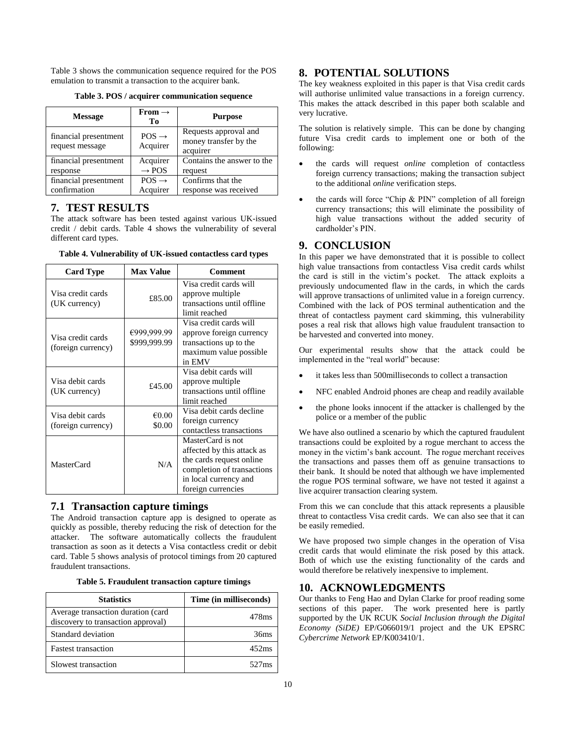[Table 3](#page-9-3) shows the communication sequence required for the POS emulation to transmit a transaction to the acquirer bank.

<span id="page-9-3"></span>

| <b>Message</b>                           | From $\rightarrow$<br>Tо      | <b>Purpose</b>                                             |
|------------------------------------------|-------------------------------|------------------------------------------------------------|
| financial presentment<br>request message | $POS \rightarrow$<br>Acquirer | Requests approval and<br>money transfer by the<br>acquirer |
| financial presentment                    | Acquirer                      | Contains the answer to the                                 |
| response                                 | $\rightarrow$ POS             | request                                                    |
| financial presentment                    | $POS \rightarrow$             | Confirms that the                                          |
| confirmation                             | Acquirer                      | response was received                                      |

**Table 3. POS / acquirer communication sequence**

# <span id="page-9-0"></span>**7. TEST RESULTS**

The attack software has been tested against various UK-issued credit / debit cards. [Table 4](#page-9-4) shows the vulnerability of several different card types.

<span id="page-9-4"></span>

| Table 4. Vulnerability of UK-issued contactless card types |  |  |  |  |  |  |  |  |  |  |  |
|------------------------------------------------------------|--|--|--|--|--|--|--|--|--|--|--|
|------------------------------------------------------------|--|--|--|--|--|--|--|--|--|--|--|

| <b>Card Type</b>                        | <b>Max Value</b>            | <b>Comment</b>                                                                                                                                           |
|-----------------------------------------|-----------------------------|----------------------------------------------------------------------------------------------------------------------------------------------------------|
| Visa credit cards<br>(UK currency)      | £85.00                      | Visa credit cards will<br>approve multiple<br>transactions until offline<br>limit reached                                                                |
| Visa credit cards<br>(foreign currency) | €999,999.99<br>\$999,999.99 | Visa credit cards will<br>approve foreign currency<br>transactions up to the<br>maximum value possible<br>in EMV                                         |
| Visa debit cards<br>(UK currency)       | £45.00                      | Visa debit cards will<br>approve multiple<br>transactions until offline<br>limit reached                                                                 |
| Visa debit cards<br>(foreign currency)  | $\epsilon$ 0.00<br>\$0.00   | Visa debit cards decline<br>foreign currency<br>contactless transactions                                                                                 |
| <b>MasterCard</b>                       | N/A                         | MasterCard is not<br>affected by this attack as<br>the cards request online<br>completion of transactions<br>in local currency and<br>foreign currencies |

# **7.1 Transaction capture timings**

The Android transaction capture app is designed to operate as quickly as possible, thereby reducing the risk of detection for the attacker. The software automatically collects the fraudulent transaction as soon as it detects a Visa contactless credit or debit card. [Table 5](#page-9-5) shows analysis of protocol timings from 20 captured fraudulent transactions.

| Table 5. Fraudulent transaction capture timings |  |
|-------------------------------------------------|--|
|-------------------------------------------------|--|

<span id="page-9-5"></span>

| <b>Statistics</b>                                                        | Time (in milliseconds) |
|--------------------------------------------------------------------------|------------------------|
| Average transaction duration (card<br>discovery to transaction approval) | 478ms                  |
| Standard deviation                                                       | 36ms                   |
| <b>Fastest transaction</b>                                               | 452ms                  |
| Slowest transaction                                                      | 52.7ms                 |

## <span id="page-9-1"></span>**8. POTENTIAL SOLUTIONS**

The key weakness exploited in this paper is that Visa credit cards will authorise unlimited value transactions in a foreign currency. This makes the attack described in this paper both scalable and very lucrative.

The solution is relatively simple. This can be done by changing future Visa credit cards to implement one or both of the following:

- the cards will request *online* completion of contactless foreign currency transactions; making the transaction subject to the additional *online* verification steps.
- the cards will force "Chip & PIN" completion of all foreign currency transactions; this will eliminate the possibility of high value transactions without the added security of cardholder's PIN.

### <span id="page-9-2"></span>**9. CONCLUSION**

In this paper we have demonstrated that it is possible to collect high value transactions from contactless Visa credit cards whilst the card is still in the victim's pocket. The attack exploits a previously undocumented flaw in the cards, in which the cards will approve transactions of unlimited value in a foreign currency. Combined with the lack of POS terminal authentication and the threat of contactless payment card skimming, this vulnerability poses a real risk that allows high value fraudulent transaction to be harvested and converted into money.

Our experimental results show that the attack could be implemented in the "real world" because:

- it takes less than 500milliseconds to collect a transaction
- NFC enabled Android phones are cheap and readily available
- the phone looks innocent if the attacker is challenged by the police or a member of the public

We have also outlined a scenario by which the captured fraudulent transactions could be exploited by a rogue merchant to access the money in the victim's bank account. The rogue merchant receives the transactions and passes them off as genuine transactions to their bank. It should be noted that although we have implemented the rogue POS terminal software, we have not tested it against a live acquirer transaction clearing system.

From this we can conclude that this attack represents a plausible threat to contactless Visa credit cards. We can also see that it can be easily remedied.

We have proposed two simple changes in the operation of Visa credit cards that would eliminate the risk posed by this attack. Both of which use the existing functionality of the cards and would therefore be relatively inexpensive to implement.

## **10. ACKNOWLEDGMENTS**

Our thanks to Feng Hao and Dylan Clarke for proof reading some sections of this paper. The work presented here is partly supported by the UK RCUK *Social Inclusion through the Digital Economy (SiDE)* EP/G066019/1 project and the UK EPSRC *Cybercrime Network* EP/K003410/1.